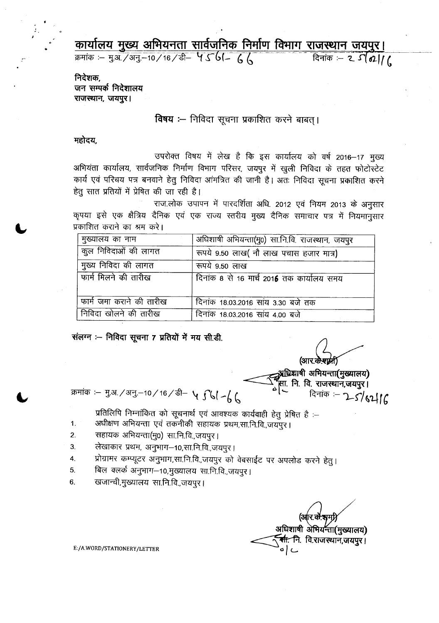कार्यालय मुख्य अभियनता सार्वजनिक निर्माण विभाग राजस्थान जयपुर। दिनांक :- 2  $S(02)$ 

क्रमांक :– मु.अ. /अनु.–10/16/डी– प 561– 66

निदेशक. जन सम्पर्क निदेशालय राजस्थान, जयपुर।

#### विषय :- निविदा सूचना प्रकाशित करने बाबत् ।

#### महोदय,

उपरोक्त विषय में लेख है कि इस कार्यालय को वर्ष 2016–17 मुख्य अभियंता कार्यालय, सार्वजनिक निर्माण विभाग परिसर, जयपुर में खुली निविदा के तहत फोटोस्टेट कार्य एवं परिचय पत्र बनवाने हेतु निविदा आंमत्रित की जानी है। अतः निविदा सूचना प्रकाशित करने हेतु सात प्रतियों में प्रेषित की जा रही है।

राज.लोक उपापन में पारदर्शिता अधि. 2012 एवं नियम 2013 के अनुसार कृपया इसे एक क्षैत्रिय दैनिक एवं एक राज्य स्तरीय मुख्य दैनिक समाचार पत्र में नियमानुसार प्रकाशित कराने का श्रम करे।

| मुख्यालय का नाम          | अधिशाषी अभियन्ता(मु0) सा.नि.वि. राजस्थान, जयपुर |
|--------------------------|-------------------------------------------------|
| कुल निविदाओं की लागत     | रूपये 9.50 लाख (नौ लाख पचास हजार मात्र)         |
| मुख्य निविदा की लागत     | रूपये 9.50 लाख                                  |
| फार्म मिलने की तारीख     | दिनांक 8 से 16 मार्च 2016 तक कार्यालय समय       |
| फार्म जमा कराने की तारीख | दिनांक 18.03.2016 सांय 3.30 बजे तक              |
| निविदा खोलने की तारीख    | दिनांक 18.03.2016 सांय 4.00 बजे                 |

संलग्न :-- निविदा सूचना 7 प्रतियों में मय सी.डी.

(आर.के.राम्रा)

्यधिश्राषी अभियन्ता(मुख्यालय) प्ता. नि. वि. राजस्थान,जयपुर। दिनांक :- 2-5/62/16

क्रमांक :- मु.अ. / अनु.-10 / 16 / डी- ५ ∫ ( / - ( (

प्रतिलिपि निम्नांकित को सूचनार्थ एवं आवश्यक कार्यवाही हेतु प्रेषित है :--

- अधीक्षण अभियन्ता एवं तकनीकी सहायक प्रथम,सा.नि.वि.,जयपुर।  $\mathbf{1}$ .
- सहायक अभियन्ता(मु0) सा.नि.वि.,जयपुर | 2.
- लेखाकार प्रथम, अनुभाग-10,सा.नि.वि.,जयपुर। 3.
- प्रोग्रामर कम्प्यूटर अनुभाग,सा.नि.वि.,जयपुर को वेबसाईट पर अपलोड करने हेतु। 4.
- बिल क्लर्क अनुभाग-10,मुख्यालय सा.नि.वि.,जयपुर।  $5<sub>1</sub>$
- खजान्वी,मुख्यालय सा.नि.वि.,जयपुर।  $6.$

अधिशाषी अभियन्ता(मुख्यालय) <del>सी.</del> नि. वि.राजस्थान,जयपुर। ے اِ ہ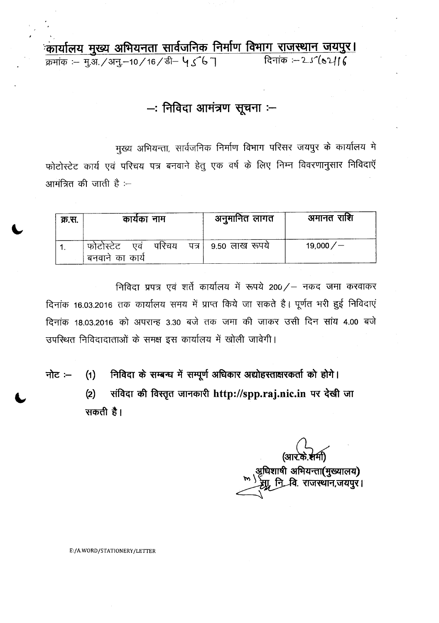कार्यालय मुख्य अभियनता सार्वजनिक निर्माण विभाग राजस्थान जयपुर। दिनांक :-25' (02116 क्रमांक :- मृ.अ. / अनु.-10 / 16 / डी- ५ 5 6 7

- निविदा आमंत्रण सूचना :-

मुख्य अभियन्ता, सार्वजनिक निर्माण विभाग परिसर जयपुर के कार्यालय मे फोटोस्टेट कार्य एवं परिचय पत्र बनवाने हेतु एक वर्ष के लिए निम्न विवरणानुसार निविदाएँ आमंत्रित की जाती है :--

| क्र.स. | कार्यका नाम                                 | अनुमानित लागत       | अमानत राशि |
|--------|---------------------------------------------|---------------------|------------|
|        | परिचय<br>एव<br>फोटोस्टेट<br>बनवाने का कार्य | पत्र। 9.50 लाख रूपय | 19,000 $/$ |

निविदा प्रपत्र एवं शर्ते कार्यालय में रूपये 200/ – नकद जमा करवाकर दिनांक 16.03.2016 तक कार्यालय समय में प्राप्त किये जा सकते है। पूर्णत भरी हुई निविदाएं दिनांक 18.03.2016 को अपरान्ह 3.30 बजे तक जमा की जाकर उसी दिन सांय 4.00 बजे उपस्थित निविदादाताओं के समक्ष इस कार्यालय में खोली जावेगी।

निविदा के सम्बन्ध में सम्पूर्ण अधिकार अद्योहस्ताक्षरकर्ता को होगे। नोट $(1)$ संविदा की विस्तृत जानकारी http://spp.raj.nic.in पर देखी जा  $(2)$ सकती है।

अधिशाषी अभियन्ता**(मुख्यालय)**<br>्रम्रा, नि\_वि. राजस्थान,जयपुर।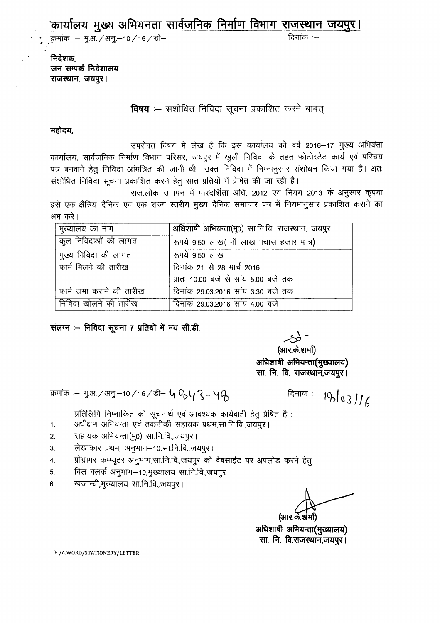<u>कार्यालय मुख्य अभियनता सार्वजनिक निर्माण विभाग राजस्थान जयपुर।</u>

: क्रमांक :– मु.अ. / अनु.–10 / 16 / डी– क्रमांक :– क्रमांक :– जिलांक :–

निदेशक. जन सम्पर्क निदेशालय राजस्थान, जयपुर।

**विषय :--** संशोधित निविदा सूचना प्रकाशित करने बाबत्।

महोदय,

1.

उपरोक्त विषय में लेख है कि इस कार्यालय को वर्ष 2016-17 मुख्य अभियंता कार्यालय, सार्वजनिक निर्माण विभाग परिसर, जयपुर में खुली निविदा के तहत फोटोस्टेट कार्य एवं परिचय पत्र बनवाने हेतु निविदा आंमत्रित की जानी थी। उक्त निविदा में निम्नानुसार संशोधन किया गया है। अतः संशोधित निविदा सूचना प्रकाशित करने हेतू सात प्रतियों में प्रेषित की जा रही है।

राज.लोक उपापन में पारदर्शिता अधि. 2012 एवं नियम 2013 के अनुसार कृपया इसे एक क्षैत्रिय दैनिक एवं एक राज्य स्तरीय मुख्य दैनिक समाचार पत्र में नियमानुसार प्रकाशित कराने का श्रम करे।

| मुख्यालय का नाम          | अधिशाषी अभियन्ता(मु0) सा.नि.वि. राजस्थान, जयपुर |  |
|--------------------------|-------------------------------------------------|--|
| कुल निविदाओं की लागत     | रूपये 9.50 लाख (नौ लाख पचास हजार मात्र)         |  |
| मुख्य निविदा की लागत     | रूपये 9.50 लाख                                  |  |
| फार्म मिलने की तारीख     | दिनांक 21 से 28 मार्च 2016                      |  |
|                          | प्रातः 10.00 बजे से सांय 5.00 बजे तक            |  |
| फार्म जमा कराने की तारीख | दिनांक 29.03.2016 सांय 3.30 बजे तक              |  |
| निविदा खोलने की तारीख    | दिनांक 29.03.2016 सांय 4.00 बजे                 |  |

संलग्न :-- निविदा सूचना 7 प्रतियों में मय सी.डी.

(आर.के.शर्मा) अधिशाषी अभियन्ता(मुख्यालय) सा. नि. वि. राजस्थान,जयपुर।

 $-56-$ 

<sup>~</sup> :- j.3l./3fj.-10/16/t'r- **t, %y 1-'iCb**

दिनांक :- 1% 03 J / 6

प्रतिलिपि निम्नांकित को सूचनार्थ एवं आवश्यक कार्यवाही हेतु प्रेषित है :–

अधीक्षण अभियन्ता एवं तकनीकी सहायक प्रथम,सा.नि.वि.,जयपुर।

- 2. 'सहायक अभियन्ता(मु0) सा.नि.वि.,जयपुर ।
- 3. लेखाकार प्रथम, अनुभाग–10,सा.नि.वि.,जयपुर।
- 4. प्रोग्रामर कम्प्यूटर अनुभाग,सा.नि.वि.,जयपुर को वेबसाईट पर अपलोड करने हेतु।
- 5. बिल क्लर्क अनुभाग-10,मुख्यालय सा.नि.वि.,जयपुर।
- 6. खजान्ची,मुख्यालय सा.नि.वि.,जयपुर।

(आर.के.

अधिशाषी अभियन्ता(मुख्यालय) सा. नि. वि.राजस्थान,जयपुर।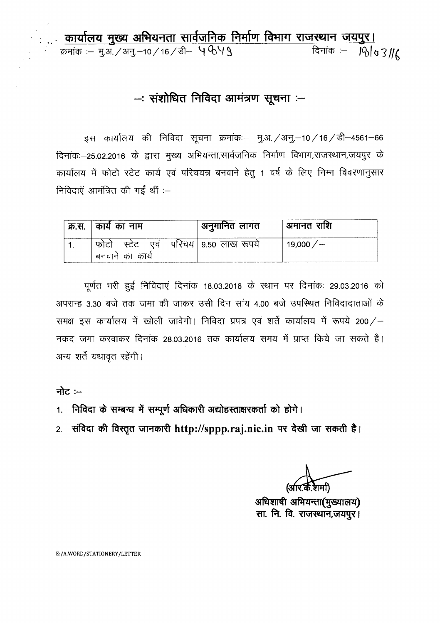**: .,' chlllh."'IlI~** ~q;rnr **t'll4\i1PtCb Pt'1ful** ~'J1141~1\i1~ \i111~ **I**  $\overline{x}$  :-  $\overline{y}$  31./3Fj.-10/16/<del>s</del> - 4649

# $-$ : संशोधित निविदा आमंत्रण सूचना  $-$

इस कार्यालय की निविदा सूचना क्रमांक:– मू.अ. / अनु.-10 / 16 / डी-4561-66 ्<br>दिनांकः—25.02.2016 के द्वारा मुख्य अभियन्ता,सार्वजनिक निर्माण विभाग,राजस्थान,जयपुर के ्<br>कार्यालय में फोटो स्टेट कार्य एवं परिचयत्र बनवाने हेतु 1 वर्ष के लिए निम्न विवरणानुर निविदाएँ आमंत्रित की गईं थीं $:-$ 

| क्र.स. | ै कार्य का नाम    | अनुमानित लागत         | ' अमानत राशि   |
|--------|-------------------|-----------------------|----------------|
|        | स्टेट एव<br>फात्न | परिचय   9.50 लाख रूपय | 19,000 $/$ $-$ |
|        | बनवान का कार्य    |                       |                |

पूर्णत भरी हुई निविदाएं दिनांक 18.03.2016 के स्थान पर दिनांकः 29.03.2016 को अपरान्ह 3.30 बजे तक जमा की जाकर उसी दिन सांय 4.00 बजे उपस्थित निविदादाताओं के समक्ष इस कार्यालय में खोली जावेगी। निविदा प्रपत्र एवं शर्ते कार्यालय में रूपये 200/-नकद जमा करवाकर दिनांक 28.03.2016 तक कार्यालय समय में प्राप्त किये जा सकते है। अन्य शर्ते यथावृत रहेंगी।

नोट $:$ 

- 1. निविदा के सम्बन्ध में सम्पूर्ण अधिकारी अद्योहस्ताक्षरकर्ता को होगे।
- 2. संविदा की विस्तृत जानकारी http://sppp.raj.nic.in पर देखी जा सकती है।

(अ

 $3$ धिशाषी अभियन्ता(मुख्यालय) **"'tiT. ~. fit ~,~** I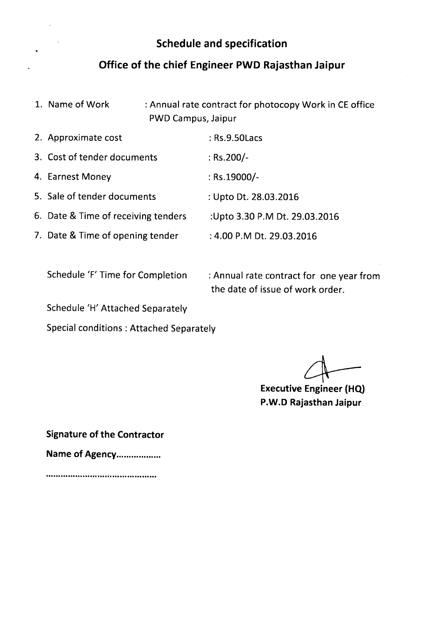### **Schedule and specification**

#### **Office of the chief Engineer PWD Rajasthan Jaipur**

1. Name of Work : Annual rate contract for photocopy Work in CE office PWD Campus, Jaipur

| 2. Approximate cost                 | : Rs.9.50 Lacs                |
|-------------------------------------|-------------------------------|
| 3. Cost of tender documents         | : $Rs.200/-$                  |
| 4. Earnest Money                    | : Rs.19000/-                  |
| 5. Sale of tender documents         | : Upto Dt. 28.03.2016         |
| 6. Date & Time of receiving tenders | :Upto 3.30 P.M Dt. 29.03.2016 |
| 7. Date & Time of opening tender    | : 4.00 P.M Dt. 29.03.2016     |

Schedule 'F' Time for Completion : Annual rate contract for one year from the date of issue of work order.

Schedule 'H' Attached Separately

Special conditions: Attached Separately

**Executive** 4- **Engineer (HQ)**

**P.W.D Rajasthan Jaipur**

**Signature of the Contractor**

**Name of** Agency .

**.............................................**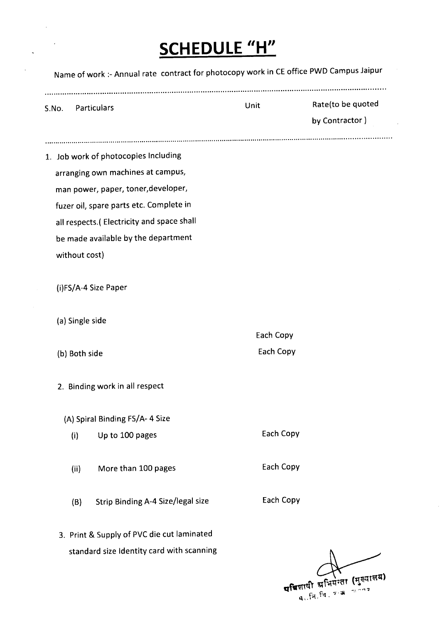# **SCHEDULE** *"H"*

 $\bar{\beta}$ 

 $\frac{1}{\sqrt{2}}\left( \frac{1}{\sqrt{2}}\right) ^{2}$ 

| S.No. Particulars |                                            | <b>Unit</b> | Rate(to be quoted<br>by Contractor) |
|-------------------|--------------------------------------------|-------------|-------------------------------------|
|                   | 1. Job work of photocopies Including       |             |                                     |
|                   | arranging own machines at campus,          |             |                                     |
|                   | man power, paper, toner, developer,        |             |                                     |
|                   | fuzer oil, spare parts etc. Complete in    |             |                                     |
|                   | all respects.( Electricity and space shall |             |                                     |
|                   | be made available by the department        |             |                                     |
| without cost)     |                                            |             |                                     |
|                   | (i)FS/A-4 Size Paper                       |             |                                     |
| (a) Single side   |                                            |             |                                     |
|                   |                                            | Each Copy   |                                     |
| (b) Both side     |                                            | Each Copy   |                                     |
|                   | 2. Binding work in all respect             |             |                                     |
|                   | (A) Spiral Binding FS/A- 4 Size            |             |                                     |
| (i)               | Up to 100 pages                            | Each Copy   |                                     |
| (ii)              | More than 100 pages                        | Each Copy   |                                     |
| (B)               | Strip Binding A-4 Size/legal size          | Each Copy   |                                     |
|                   | 3. Print & Supply of PVC die cut laminated |             |                                     |
|                   | standard size Identity card with scanning  |             |                                     |

परिजाषी अभियन्ता (मुख्यालय)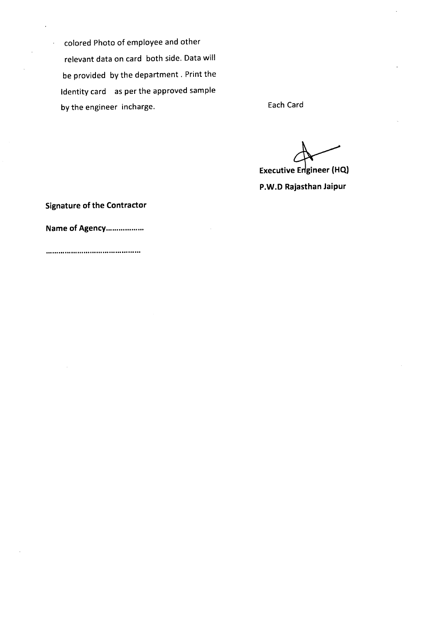colored Photo of employee and other relevant data on card both side. Data will be provided by the department. Print the Identity card as per the approved sample by the engineer incharge. The engineer of the engineer of the engineer of the engineer of the engineer of the E

Executive Engineer (HQ) **P.W.D Rajasthan Jaipur**

**Signature of the Contractor**

**Name of** Agency ..

**.............................................**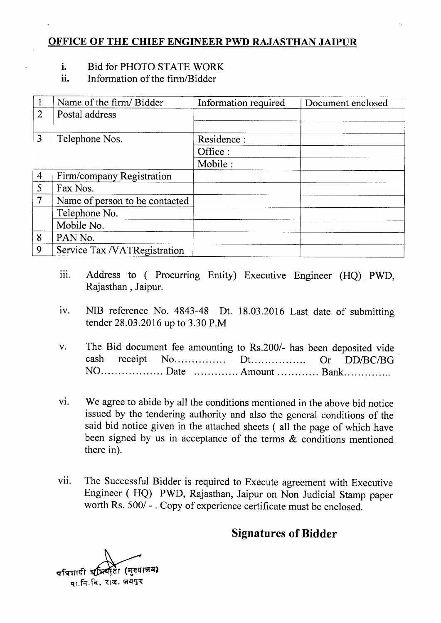#### **OFFICE OF THE CHIEF ENGINEER PWD RAJASTHAN JAIPUR**

#### **1.** Bid for PHOTO STATE WORK

**11.** Information of the firm/Bidder

|                | Name of the firm/ Bidder       | Information required | Document enclosed |
|----------------|--------------------------------|----------------------|-------------------|
| $\overline{2}$ | Postal address                 |                      |                   |
| 3              | Telephone Nos.                 | Residence :          |                   |
|                |                                | Office :             |                   |
|                |                                | Mobile :             |                   |
| $\overline{4}$ | Firm/company Registration      |                      |                   |
| 5              | Fax Nos.                       |                      |                   |
| $\overline{7}$ | Name of person to be contacted |                      |                   |
|                | Telephone No.                  |                      |                   |
|                | Mobile No.                     |                      |                   |
| 8              | PAN No.                        |                      |                   |
| 9              | Service Tax /VATRegistration   |                      |                   |

- iii. Address to (Procurring Entity) Executive Engineer (HQ) PWD, Rajasthan, Jaipur.
- iv. NIB reference No. 4843-48 Dt. 18.03.2016 Last date of submitting tender 28.03.2016 up to 3.30 P.M
- v. The Bid document fee amounting to Rs.200/- has been deposited vide. cash receipt No........ Dt.......... Or *DDIBCIBG* NO.................... Date .............. Amount .............. Bank..............
- vi. We agree to abide by all the conditions mentioned in the above bid notice issued by the tendering authority and also the general conditions of the said bid notice given in the attached sheets ( all the page of which have been signed by us in acceptance of the terms & conditions mentioned there in).
- vii. The Successful Bidder is required to Execute agreement with Executive Engineer (HQ) PWD, Rajasthan, Jaipur on Non Judicial Stamp paper worth Rs. 500/ - . Copy of experience certificate must be enclosed.

# **Signatures of Bidder**

पविशाषी श्रम्पिती (मुख्यालय) मा.नि.वि. राज. जयपूर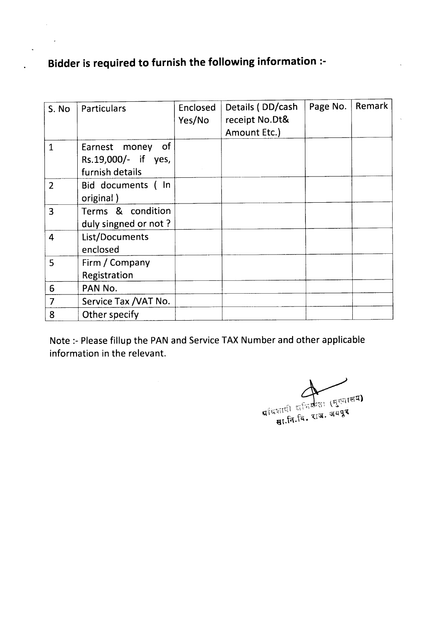# **Bidder is required to furnish the following information :-**

 $\ddot{\phantom{a}}$ 

| S. No          | Particulars                                                   | Enclosed<br>Yes/No | Details (DD/cash<br>receipt No.Dt&<br>Amount Etc.) | Page No. | Remark |
|----------------|---------------------------------------------------------------|--------------------|----------------------------------------------------|----------|--------|
| $\mathbf{1}$   | of<br>Earnest money<br>Rs.19,000/- if yes,<br>furnish details |                    |                                                    |          |        |
| $\overline{2}$ | Bid documents (In<br>original)                                |                    |                                                    |          |        |
| 3              | Terms & condition<br>duly singned or not?                     |                    |                                                    |          |        |
| $\overline{4}$ | List/Documents<br>enclosed                                    |                    |                                                    |          |        |
| 5              | Firm / Company<br>Registration                                |                    |                                                    |          |        |
| 6              | PAN No.                                                       |                    |                                                    |          |        |
| $\overline{7}$ | Service Tax / VAT No.                                         |                    |                                                    |          |        |
| 8              | Other specify                                                 |                    |                                                    |          |        |

Note :- Please fillup the PAN and Service TAX Number and other applicable information in the relevant.

प्रांधपायी अधिकार (मुख्यालय)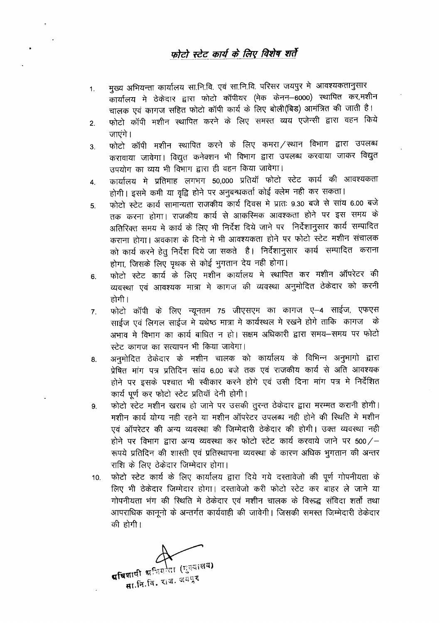#### फोटो स्टेट कार्य के लिए विशेष शर्ते

- 1. मुख्य अभियन्ता कार्यालय सा.नि.वि. एवं सा.नि.वि. परिसर जयपुर मे आवश्यकतानुसार CfilllfC'lll <sup>~</sup> <sup>~</sup> 6RT l:I5TcT CfiI4'111x (% ~-6000) ~ *"CI'R,~* चालक एवं कागज सहित फोटो कॉपी कार्य के लिए बोली(बिड) आमंत्रित की जाती है।
- 2. फोटो कॉपी मशीन स्थापित करने के लिए समस्त व्यय एजेन्सी द्वारा वहन किये जाएंगे।
- 3. फोटो कॉपी मशीन स्थापित करने के लिए कमरा ⁄ स्थान विभाग द्वारा उपलब्ध करावाया जावेगा। विद्युत कनेक्शन भी विभाग द्वारा उपलब्ध करवाया जाकर विद्युत उपयोग का व्यय भी विभाग द्वारा ही वहन किया जावेगा।
- 4. कार्यालय मे प्रतिमाह लगभग 50,000 प्रतियाँ फोटो स्टेट कार्य की आवश्यकता होगी। इसमे कमी या वृद्वि होने पर अनुबन्धकर्ता कोई क्लेम नही कर सकता।
- 5. फोटो स्टेट कार्य सामान्यता राजकीय कार्य दिवस मे प्रातः 9.30 बजे से सांय 6.00 बजे तक करना होगा। राजकीय कार्य से आकस्मिक आवश्कता होने पर इस समय के अतिरिक्त समय मे कार्य के लिए भी निर्देश दिये जाने पर निर्देशानुसार कार्य सम्पादित कराना होगा। अवकाश के दिनो मे भी आवश्यकता होने पर फोटो स्टेट मशीन संचालक को कार्य करने हेतु निर्देश दिये जा सकते हैं। निर्देशानुसार कार्य सम्पादित कराना होगा, जिसके लिए पृथक से कोई भूगतान देय नही होगा।
- 6. फोटो स्टेट कार्य के लिए मशीन कार्यालय मे स्थापित कर मशीन ऑपरेटर की व्यवस्था एवं आवश्यक मात्रा मे कागज की व्यवस्था अनुमोदित ठेकेदार को करनी होगी ।
- 7. कोटो कॉपी के लिए न्यूनतम 75 जीएसएम का कागज ए–4 साईज, एफएस साईज एवं लिगल साईज में यथेष्ठ मात्रा में कार्यस्थल में रखने होगे ताकि कागज के अभाव मे विभाग का कार्य बाधित न हो। सक्षम अधिकारी द्वारा समय—समय पर फोटो स्टेट कागज का सत्यापन भी किया जावेगा।
- 8. अनुमोदित ठेकेदार के मशीन चालक को कार्यालय के विभिन्न अनुभागो द्वारा प्रेषित मांग पत्र प्रतिदिन सांय 6.00 बजे तक एवं राजकीय कार्य से अति आवश्यक होने पर इसके पश्चात भी स्वीकार करने होगे एवं उसी दिना मांग पत्र मे निर्देशित कार्य पूर्ण कर फोटो स्टेट प्रतियाँ देनी होगी।
- 9. फोटो स्टेट मशीन खराब हो जाने पर उसकी तुरन्त ठेकेदार द्वारा मरम्मत करानी होगी। मशीन कार्य योग्य नही रहने या मशीन ऑपरेटर उपलब्ध नही होने की स्थिति मे मशीन एवं ऑपरेटर की अन्य व्यवस्था की जिम्मेदारी ठेकेदार की होगी। उक्त व्यवस्था नही होने पर विभाग द्वारा अन्य व्यवस्था कर फोटो स्टेट कार्य करवाये जाने पर 500/-रूपये प्रतिदिन की शास्ती एवं प्रतिस्थापना व्यवस्था के कारण अधिक भूगतान की अन्तर राशि के लिए ठेकेदार जिम्मेदार होगा।
- 10. फोटो स्टेट कार्य के लिए कार्यालय द्वारा दिये गये दस्तावेजो की पूर्ण गोपनीयता के लिए भी ठेकेदार जिम्मेदार होगा। दस्तावेजो करी फोटो स्टेट कर बाहर ले जाने या गोपनीयता भंग की स्थिति मे ठेकेदार एवं मशीन चालक के विरूद्ध संविदा शर्तो तथा आपराधिक कानूनो के अन्तर्गत कार्यवाही की जावेगी। जिसकी समस्त जिम्मेदारी ठेकेदार की होगी।

पविशाषी अधियोता (मुख्यालय) ।बाषी श्रीयदेखा रेड<br>सा.नि.वि. राज. जमपुर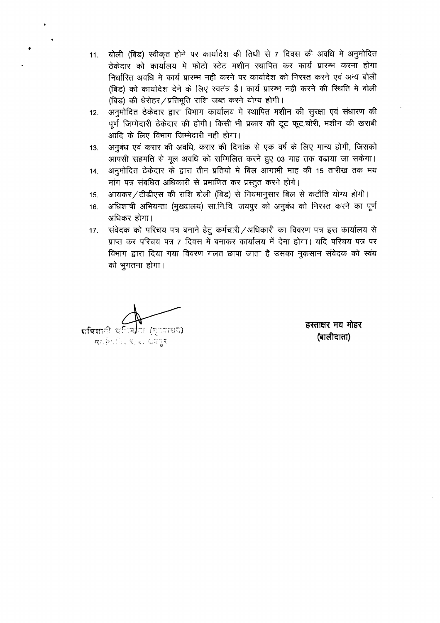- 11. बोली (बिड) स्वीकृत होने पर कार्यादेश की तिथी से 7 दिवस की अवधि में अनुमोदित ठेकेदार को कार्यालय में फोटो स्टेट मशीन स्थापित कर कार्य प्रारम्भ करना होगा निर्धारित अवधि मे कार्य प्रारम्भ नही करने पर कार्यादेश को निरस्त करने एवं अन्य बोली *(*बिड) को कार्यादेश देने के लिए स्वतंत्र है। कार्य प्रारम्भ नही करने की स्थिति मे बोली *(बिड)* की धेरोहर / प्रतिभूति राशि जब्त करने योग्य होगी।
- 12. अनुमोदित ठेकेदार द्वारा विभाग कार्यालय मे स्थापित मशीन की सुरक्षा एवं संधारण की पूर्ण जिम्मेदारी ठेकेदार की होगी। किसी भी प्रकार की टूट फूट,चोरी, मशीन की खराबी आदि के लिए विभाग जिम्मेदारी नही होगा।
- 13. जनवंध एवं करार की अवधि, करार की दिनांक से एक वर्ष के लिए मान्य होगी, जिसको आपसी सहमति से मूल अवधि को सम्मिलित करने हुए 03 माह तक बढाया जा सकेगा।
- 14. अनुमोदित ठेकेदार के द्वारा तीन प्रतियो मे बिल आगामी माह की 15 तारीख तक मय मांग पत्र संबधित अधिकारी से प्रमाणित कर प्रस्तुत करने होगे।
- 15. आयकर / टीडीएस की राशि बोली (बिड) से नियमानुसार बिल से कटौति योग्य होगी।
- 16. अधिशाषी अभियन्ता (मुख्यालय) सा.नि.वि. जयपूर को अनुबंध को निरस्त करने का पूर्ण अधिकर होगा।
- 17. संवेदक को परिचय पत्र बनाने हेतू कर्मचारी /अधिकारी का विवरण पत्र इस कार्यालय से प्राप्त कर परिचय पत्र 7 दिवस में बनाकर कार्यालय में देना होगा। यदि परिचय पत्र पर विभाग द्वारा दिया गया विवरण गलत छापा जाता है उसका नुकसान संवेदक को स्वंय को भगतना होगा।

**द्यधिशा**ी ध লা (মত্যাভায়) **या** कि.ि. रू.क. धरपुर

**<sup>6</sup>'ffi <sup>141</sup>'< lfli ~ (ill CifI G1m)**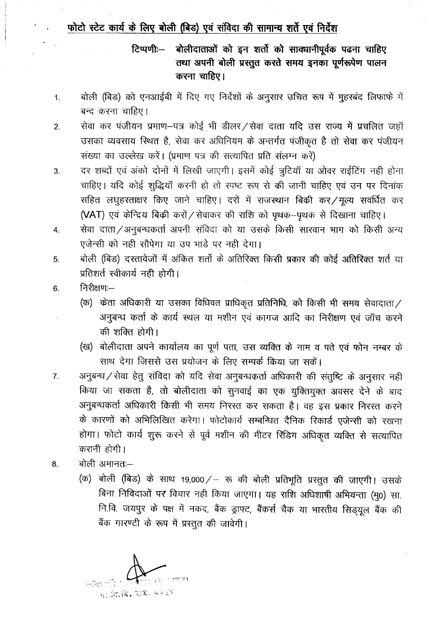## फोटो स्टेट कार्य के लिए बोली (बिड) एवं संविदा की सामान्य शर्ते एवं निर्देश

बोलीदाताओं को इन शर्तो को साक्धानीपूर्वक पढना चाहिए टिप्पणीः— तथा अपनी बोली प्रस्तुत करते समय इनका पूर्णरूपेण पालन करना चाहिए।

- बोली (बिड) को एनआईबी में दिए गए निर्देशों के अनुसार उचित रूप में मूहरबंद लिफाफे में  $1.$ बन्द करना चाहिए।
- सेवा कर पंजीयन प्रमाण-पत्र कोई भी डीलर/सेवा दाता यदि उस राज्य में प्रचलित जहाँ  $2.$ उसका व्यवसाय स्थित है, सेवा कर अधिनियम के अन्तर्गत पंजीकृत है तो सेवा कर पंजीयन संख्या का उल्लेख करें। (प्रमाण पत्र की सत्यापित प्रति संलग्न करें)
- दर शब्दों एवं अंको दोनों में लिखी जाएगी। इसमें कोई त्रूटियाँ या ओवर राईटिंग नही होना  $3.$ चाहिए। यदि कोई शुद्धियाँ करनी हो तो स्पष्ट रूप से की जानी चाहिए एवं उन पर दिनांक सहित लघुहस्ताक्षर किए जाने चाहिए। दरों में राजस्थान बिकी कर/मूल्य सवर्धित कर (VAT) एवं केन्द्रिय बिक्री करों / सेवाकर की राशि को पृथक-पृथक से दिखाना चाहिए।
- सेवा दाता/अनुबन्धकर्ता अपनी संविदा को या उसके किसी सारवान भाग को किसी अन्य 4. एजेन्सी को नही सौपेगा या उप भाड़े पर नही देगा।
- बोली (बिड) दस्तावेजों में अंकित शर्तो के अतिरिक्त किसी प्रकार की कोई अतिरिक्त शर्त या 5. प्रतिशर्त स्वीकार्य नही होगी।
- निरीक्षण:--6.
	- (क) केता अधिकारी या उसका विधिवत प्राधिकृत प्रतिनिधि, को किसी भी समय सेवादाता/ अनुबन्ध कर्ता के कार्य स्थल या मशीन एवं कागज आदि का निरीक्षण एवं जॉच करने की शक्ति होगी।
	- (ख) बोलीदाता अपने कार्यालय का पूर्ण पता, उस व्यक्ति के नाम व पते एवं फोन नम्बर के साथ देगा जिससे उस प्रयोजन के लिए सम्पर्क किया जा सकें।
- अनुबन्ध / सेवा हेतु संविदा को यदि सेवा अनुबन्धकर्ता अधिकारी की संतुष्टि के अनुसार नही  $7<sub>1</sub>$ किया जा सकता है, तो बोलीदाता को सुनवाई का एक युक्तियुक्त अवसर देने के बाद अनुबन्धकर्ता अधिकारी किसी भी समय निरस्त कर सकता है। वह इस प्रकार निरस्त करने के कारणों को अभिलिखित करेगा। फोटोकार्य सम्बन्धित दैनिक रिकार्ड एजेन्सी को रखना होगा। फोटो कार्य शुरू करने से पूर्व मशीन की मीटर रिंडिंग अधिकृत व्यक्ति से सत्यापित करानी होगी।
- बोली अमानतः-8.
	- (क) बोली (बिड) के साथ 19,000/– रू की बोली प्रतिभूति प्रस्तुत की जाएगी। उसके बिना निविदाओं पर विचार नही किया जाएगा। यह राशि अधिशाषी अभियन्ता (मु0) सा. नि.वि. जयपुर के पक्ष में नकद, बैंक ड्राफ्ट, बैंकर्स चैक या भारतीय सिड्यूल बैंक की बैंक गारण्टी के रूप में प्रस्तुत की जावेगी।

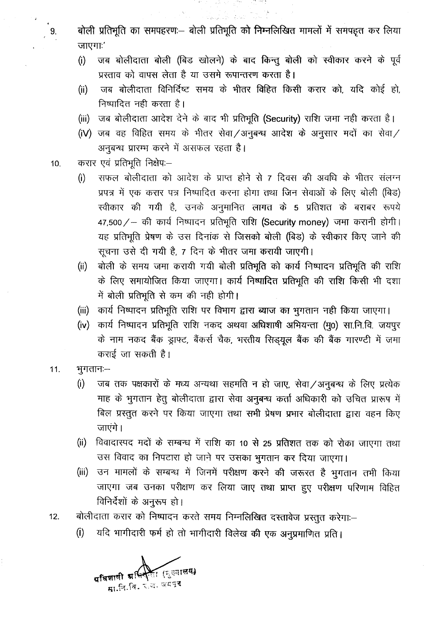$\left[ \begin{array}{ccc} 9. & & {\cal a} \end{array} \right]$  कोली प्रतिगुलि को जिम्नलिखित मामलों में समपहत कर लिया जाएगाः'

Sand St. Gold

- (i) जब बोलीदाता बोली (बिड खोलने) के बाद किन्तु बोली को स्वीकार करने के पूर्व प्रस्ताव को वापस लेता है या उसमे रूपान्तरण करता है।
- (ii) जब बोलीदाता विनिर्दिष्ट समय के भीतर विहित किसी करार को, यदि कोई हो, निष्पादित नही करता है।
- (iii) जब बोलीदाता आदेश देने के बाद भी प्रतिभूति (Security) राशि जमा नही करता है।
- (iV) जब वह विहित समय के भीतर सेवा /अनुबन्ध आदेश के अनुसार मदों का सेवा / अनुबन्ध प्रारम्भ करने में असफल रहता है।
- 10. करार एवं प्रतिभूति निक्षेपः-
	- (i) सफल बोलीदाता को आदेश के प्राप्त होने से 7 दिवस की अवधि के भीतर संलग्न प्रपत्र में एक करार पत्र निष्पादित करना होगा तथा जिन सेवाओं के लिए बोली (बिड) स्वीकार की गयी है, उनके अनुमानित लागत के 5 प्रतिशत के बराबर रूपये 47,500 / - की कार्य निष्पादन प्रतिभूति राशि (Security money) जमा करानी होगी। यह प्रतिभूति प्रेषण के उस दिनांक से जिसको बोली (बिड) के स्वीकार किए जाने की सूचना उसे दी गयी है, 7 दिन के भीतर जमा करायी जाएगी।
	- (ii) वोली के समय जमा करायी गयी बोली प्रतिभूति को कार्य निष्पादन प्रतिभूति की राशि के लिए समायोजित किया जाएगा। कार्य निष्पादित प्रतिभूति की राशि किसी भी दशा में बोली प्रतिभूति से कम की नही होगी।
	- (iii) कार्य निष्पादन प्रतिभूति राशि पर विभाग द्वारा ब्याज का भुगतान नही किया जाएगा।
	- (iv) कार्य निष्पादन प्रतिभूति राशि नकद अथवा अधिशाषी अभियन्ता (मू0) सा.नि.वि. जयपूर के नाम नकद बैंक ड्राफ्ट, बैंकर्स चैक, भरतीय सिड्यूल बैंक की बैंक गारण्टी में जमा  $\sigma$ राई जा सकती है।
- $11.$  भुगतानः $-$ 
	- (i) जब तक पक्षकारों के मध्य अन्यथा सहमति न हो जाए, सेवा /अनुबन्ध के लिए प्रत्येक माह के भुगतान हेतु बोलीदाता द्वारा सेवा अनुबन्ध कर्ता अधिकारी को उचित प्रारूप में बिल प्रस्तुत करने पर किया जाएगा तथा सभी प्रेषण प्रभार बोलीदाता द्वारा वहन किए जाएंगे।
	- (ii) विवादास्पद मदों के सम्बन्ध में राशि का 10 से 25 प्रतिशत तक को रोका जाएगा तथा उस विवाद का निपटारा हो जाने पर उसका भुगतान कर दिया जाएगा।
	- (iii) उन मामलों के सम्बन्ध में जिनमें परीक्षण करने की जरूरत है भुगतान तभी किया जाएगा जब उनका परीक्षण कर लिया जाए तथा प्राप्त हुए परीक्षण परिणाम विहित विनिर्देशों के अनुरूप हो।
- 12. बोलीदाता करार को निष्पादन करते समय निम्नलिखित दस्तावेज प्रस्तुत करेगाः--
	- (i) यदि भागीदारी फर्म हो तो भागीदारी विलेख की एक अनुप्रमाणित प्रति।

<u>रित (सु</u>ह्यालय) प्रविज्ञाली ग्र<sup>ू4न</sup> सा.नि.बि. २.व. बटवर